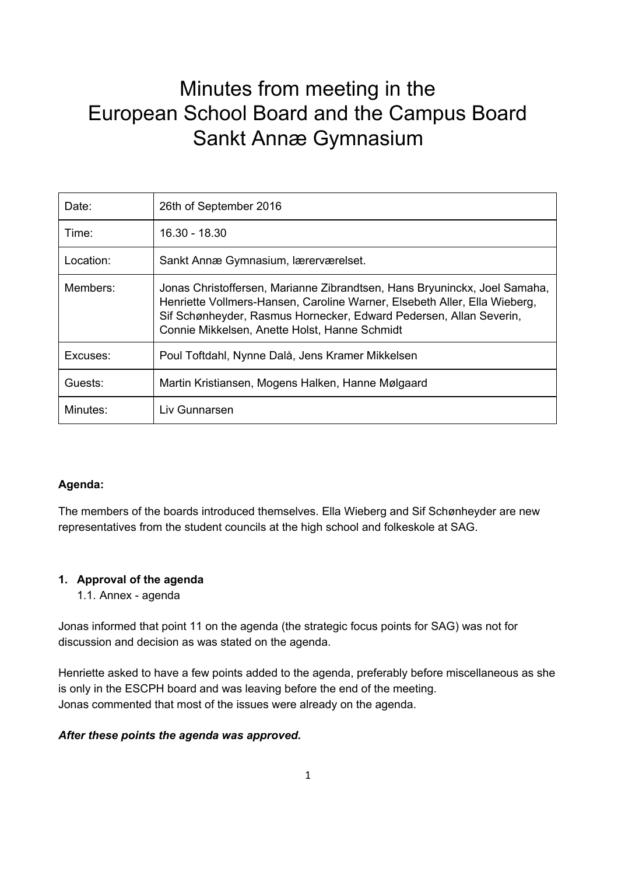# Minutes from meeting in the European School Board and the Campus Board Sankt Annæ Gymnasium

| Date:     | 26th of September 2016                                                                                                                                                                                                                                                        |
|-----------|-------------------------------------------------------------------------------------------------------------------------------------------------------------------------------------------------------------------------------------------------------------------------------|
| Time:     | $16.30 - 18.30$                                                                                                                                                                                                                                                               |
| Location: | Sankt Annæ Gymnasium, lærerværelset.                                                                                                                                                                                                                                          |
| Members:  | Jonas Christoffersen, Marianne Zibrandtsen, Hans Bryuninckx, Joel Samaha,<br>Henriette Vollmers-Hansen, Caroline Warner, Elsebeth Aller, Ella Wieberg,<br>Sif Schønheyder, Rasmus Hornecker, Edward Pedersen, Allan Severin,<br>Connie Mikkelsen, Anette Holst, Hanne Schmidt |
| Excuses:  | Poul Toftdahl, Nynne Dalå, Jens Kramer Mikkelsen                                                                                                                                                                                                                              |
| Guests:   | Martin Kristiansen, Mogens Halken, Hanne Mølgaard                                                                                                                                                                                                                             |
| Minutes:  | Liv Gunnarsen                                                                                                                                                                                                                                                                 |

## **Agenda:**

The members of the boards introduced themselves. Ella Wieberg and Sif Schønheyder are new representatives from the student councils at the high school and folkeskole at SAG.

## **1. Approval of the agenda**

1.1. Annex - agenda

Jonas informed that point 11 on the agenda (the strategic focus points for SAG) was not for discussion and decision as was stated on the agenda.

Henriette asked to have a few points added to the agenda, preferably before miscellaneous as she is only in the ESCPH board and was leaving before the end of the meeting. Jonas commented that most of the issues were already on the agenda.

## *After these points the agenda was approved.*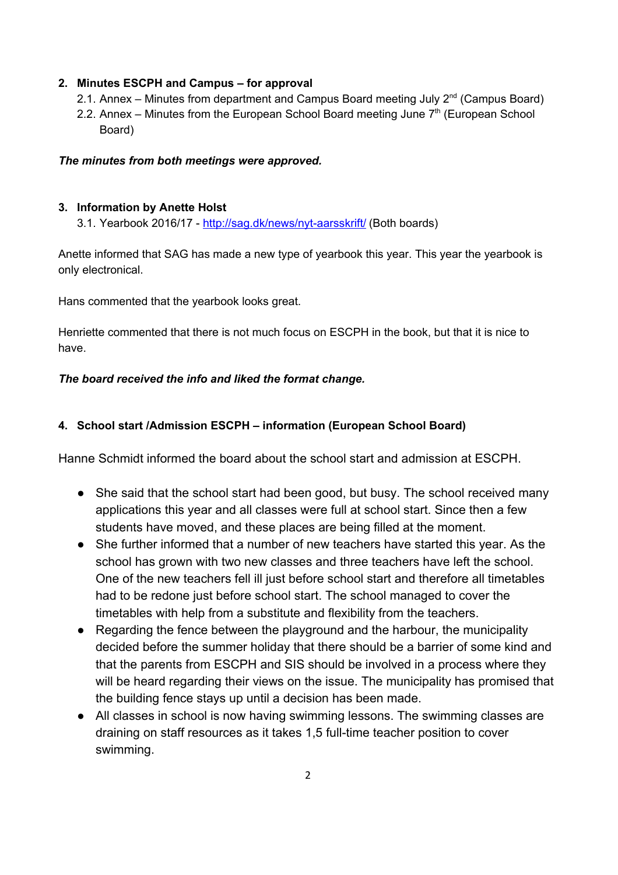## **2. Minutes ESCPH and Campus – for approval**

- 2.1. Annex Minutes from department and Campus Board meeting July  $2^{nd}$  (Campus Board)
- 2.2. Annex Minutes from the European School Board meeting June  $7<sup>th</sup>$  (European School Board)

## *The minutes from both meetings were approved.*

## **3. Information by Anette Holst**

3.1. Yearbook 2016/17 -<http://sag.dk/news/nyt-aarsskrift/> (Both boards)

Anette informed that SAG has made a new type of yearbook this year. This year the yearbook is only electronical.

Hans commented that the yearbook looks great.

Henriette commented that there is not much focus on ESCPH in the book, but that it is nice to have.

## *The board received the info and liked the format change.*

## **4. School start /Admission ESCPH – information (European School Board)**

Hanne Schmidt informed the board about the school start and admission at ESCPH.

- She said that the school start had been good, but busy. The school received many applications this year and all classes were full at school start. Since then a few students have moved, and these places are being filled at the moment.
- She further informed that a number of new teachers have started this year. As the school has grown with two new classes and three teachers have left the school. One of the new teachers fell ill just before school start and therefore all timetables had to be redone just before school start. The school managed to cover the timetables with help from a substitute and flexibility from the teachers.
- Regarding the fence between the playground and the harbour, the municipality decided before the summer holiday that there should be a barrier of some kind and that the parents from ESCPH and SIS should be involved in a process where they will be heard regarding their views on the issue. The municipality has promised that the building fence stays up until a decision has been made.
- All classes in school is now having swimming lessons. The swimming classes are draining on staff resources as it takes 1,5 full-time teacher position to cover swimming.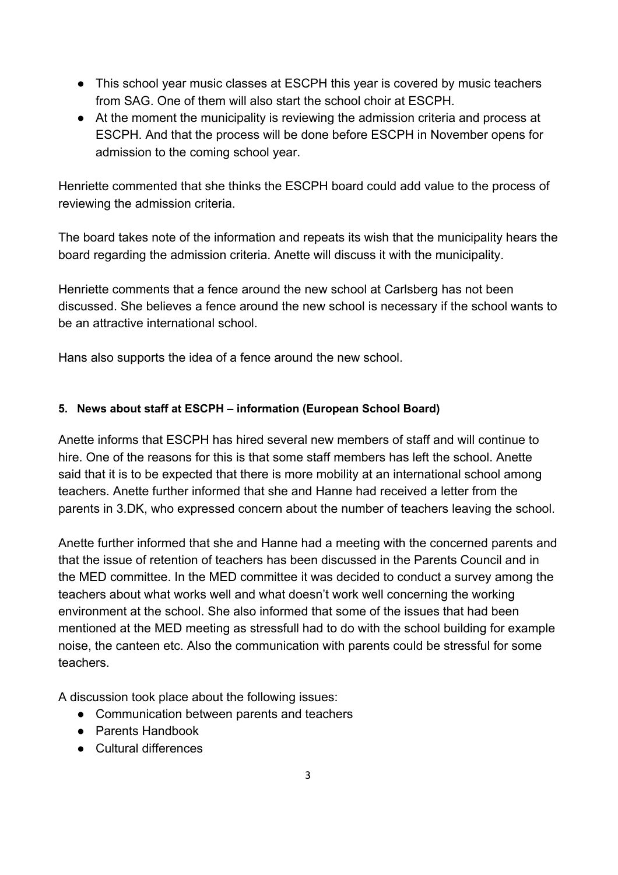- This school year music classes at ESCPH this year is covered by music teachers from SAG. One of them will also start the school choir at ESCPH.
- At the moment the municipality is reviewing the admission criteria and process at ESCPH. And that the process will be done before ESCPH in November opens for admission to the coming school year.

Henriette commented that she thinks the ESCPH board could add value to the process of reviewing the admission criteria.

The board takes note of the information and repeats its wish that the municipality hears the board regarding the admission criteria. Anette will discuss it with the municipality.

Henriette comments that a fence around the new school at Carlsberg has not been discussed. She believes a fence around the new school is necessary if the school wants to be an attractive international school.

Hans also supports the idea of a fence around the new school.

# **5. News about staff at ESCPH – information (European School Board)**

Anette informs that ESCPH has hired several new members of staff and will continue to hire. One of the reasons for this is that some staff members has left the school. Anette said that it is to be expected that there is more mobility at an international school among teachers. Anette further informed that she and Hanne had received a letter from the parents in 3.DK, who expressed concern about the number of teachers leaving the school.

Anette further informed that she and Hanne had a meeting with the concerned parents and that the issue of retention of teachers has been discussed in the Parents Council and in the MED committee. In the MED committee it was decided to conduct a survey among the teachers about what works well and what doesn't work well concerning the working environment at the school. She also informed that some of the issues that had been mentioned at the MED meeting as stressfull had to do with the school building for example noise, the canteen etc. Also the communication with parents could be stressful for some teachers.

A discussion took place about the following issues:

- Communication between parents and teachers
- Parents Handbook
- Cultural differences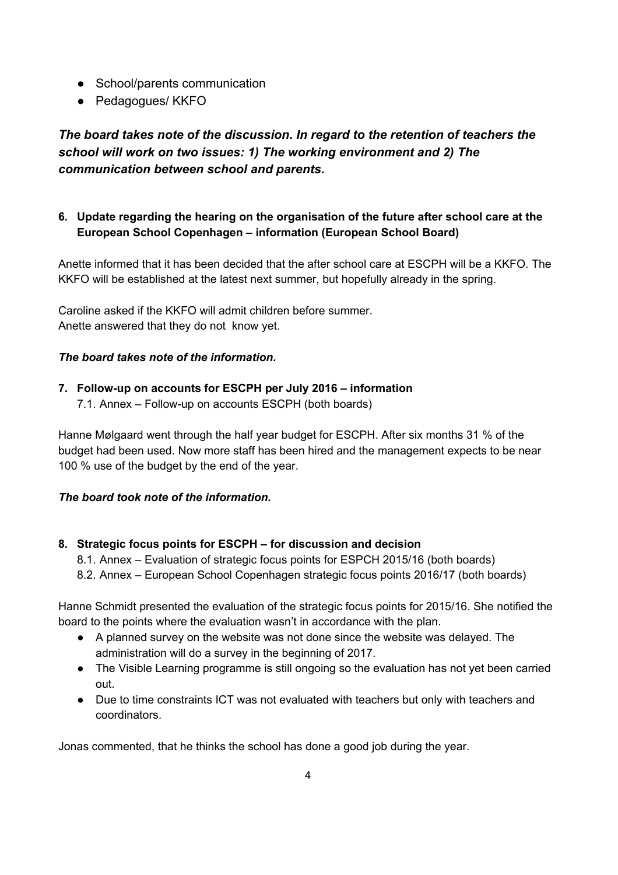- School/parents communication
- Pedagogues/ KKFO

*The board takes note of the discussion. In regard to the retention of teachers the school will work on two issues: 1) The working environment and 2) The communication between school and parents.*

# **6. Update regarding the hearing on the organisation of the future after school care at the European School Copenhagen – information (European School Board)**

Anette informed that it has been decided that the after school care at ESCPH will be a KKFO. The KKFO will be established at the latest next summer, but hopefully already in the spring.

Caroline asked if the KKFO will admit children before summer. Anette answered that they do not know yet.

# *The board takes note of the information.*

- **7. Follow-up on accounts for ESCPH per July 2016 – information**
	- 7.1. Annex Follow-up on accounts ESCPH (both boards)

Hanne Mølgaard went through the half year budget for ESCPH. After six months 31 % of the budget had been used. Now more staff has been hired and the management expects to be near 100 % use of the budget by the end of the year.

## *The board took note of the information.*

## **8. Strategic focus points for ESCPH – for discussion and decision**

8.1. Annex – Evaluation of strategic focus points for ESPCH 2015/16 (both boards)

8.2. Annex – European School Copenhagen strategic focus points 2016/17 (both boards)

Hanne Schmidt presented the evaluation of the strategic focus points for 2015/16. She notified the board to the points where the evaluation wasn't in accordance with the plan.

- A planned survey on the website was not done since the website was delayed. The administration will do a survey in the beginning of 2017.
- The Visible Learning programme is still ongoing so the evaluation has not yet been carried out.
- Due to time constraints ICT was not evaluated with teachers but only with teachers and coordinators.

Jonas commented, that he thinks the school has done a good job during the year.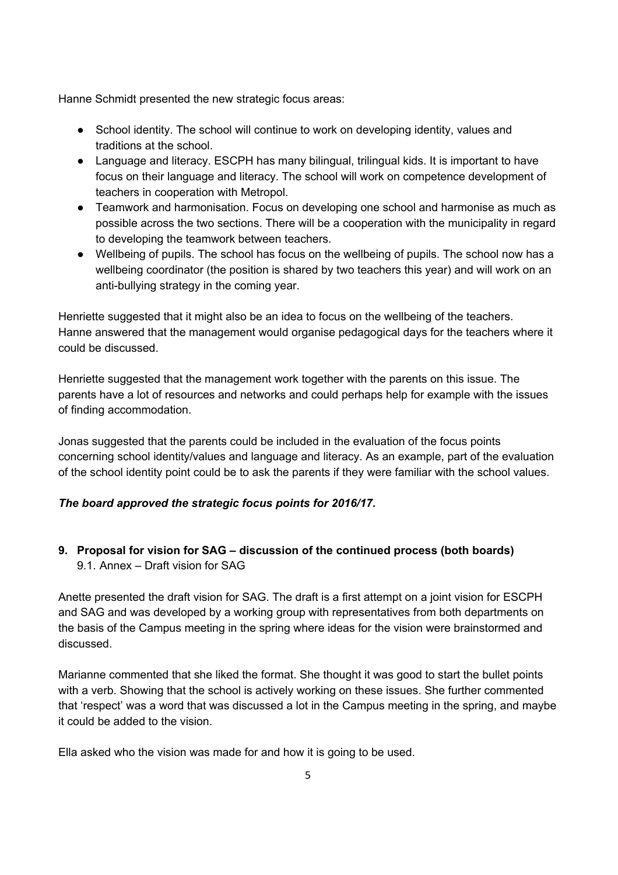Hanne Schmidt presented the new strategic focus areas:

- School identity. The school will continue to work on developing identity, values and traditions at the school.
- Language and literacy. ESCPH has many bilingual, trilingual kids. It is important to have focus on their language and literacy. The school will work on competence development of teachers in cooperation with Metropol.
- Teamwork and harmonisation. Focus on developing one school and harmonise as much as possible across the two sections. There will be a cooperation with the municipality in regard to developing the teamwork between teachers.
- Wellbeing of pupils. The school has focus on the wellbeing of pupils. The school now has a wellbeing coordinator (the position is shared by two teachers this year) and will work on an anti-bullying strategy in the coming year.

Henriette suggested that it might also be an idea to focus on the wellbeing of the teachers. Hanne answered that the management would organise pedagogical days for the teachers where it could be discussed.

Henriette suggested that the management work together with the parents on this issue. The parents have a lot of resources and networks and could perhaps help for example with the issues of finding accommodation.

Jonas suggested that the parents could be included in the evaluation of the focus points concerning school identity/values and language and literacy. As an example, part of the evaluation of the school identity point could be to ask the parents if they were familiar with the school values.

# *The board approved the strategic focus points for 2016/17.*

# **9. Proposal for vision for SAG – discussion of the continued process (both boards)**

9.1. Annex – Draft vision for SAG

Anette presented the draft vision for SAG. The draft is a first attempt on a joint vision for ESCPH and SAG and was developed by a working group with representatives from both departments on the basis of the Campus meeting in the spring where ideas for the vision were brainstormed and discussed.

Marianne commented that she liked the format. She thought it was good to start the bullet points with a verb. Showing that the school is actively working on these issues. She further commented that 'respect' was a word that was discussed a lot in the Campus meeting in the spring, and maybe it could be added to the vision.

Ella asked who the vision was made for and how it is going to be used.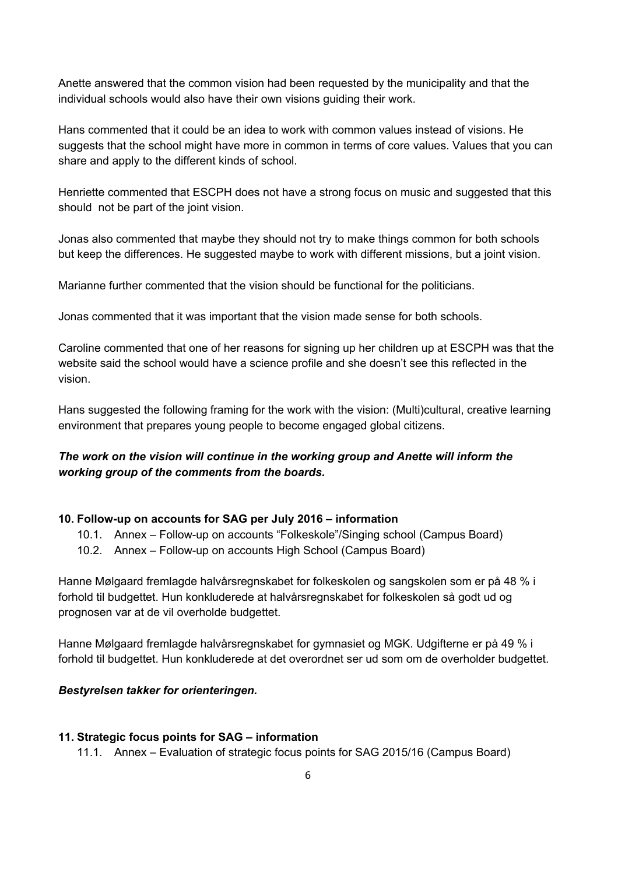Anette answered that the common vision had been requested by the municipality and that the individual schools would also have their own visions guiding their work.

Hans commented that it could be an idea to work with common values instead of visions. He suggests that the school might have more in common in terms of core values. Values that you can share and apply to the different kinds of school.

Henriette commented that ESCPH does not have a strong focus on music and suggested that this should not be part of the joint vision.

Jonas also commented that maybe they should not try to make things common for both schools but keep the differences. He suggested maybe to work with different missions, but a joint vision.

Marianne further commented that the vision should be functional for the politicians.

Jonas commented that it was important that the vision made sense for both schools.

Caroline commented that one of her reasons for signing up her children up at ESCPH was that the website said the school would have a science profile and she doesn't see this reflected in the vision.

Hans suggested the following framing for the work with the vision: (Multi)cultural, creative learning environment that prepares young people to become engaged global citizens.

# *The work on the vision will continue in the working group and Anette will inform the working group of the comments from the boards.*

## **10. Follow-up on accounts for SAG per July 2016 – information**

- 10.1. Annex Follow-up on accounts "Folkeskole"/Singing school (Campus Board)
- 10.2. Annex Follow-up on accounts High School (Campus Board)

Hanne Mølgaard fremlagde halvårsregnskabet for folkeskolen og sangskolen som er på 48 % i forhold til budgettet. Hun konkluderede at halvårsregnskabet for folkeskolen så godt ud og prognosen var at de vil overholde budgettet.

Hanne Mølgaard fremlagde halvårsregnskabet for gymnasiet og MGK. Udgifterne er på 49 % i forhold til budgettet. Hun konkluderede at det overordnet ser ud som om de overholder budgettet.

#### *Bestyrelsen takker for orienteringen.*

#### **11. Strategic focus points for SAG – information**

11.1. Annex – Evaluation of strategic focus points for SAG 2015/16 (Campus Board)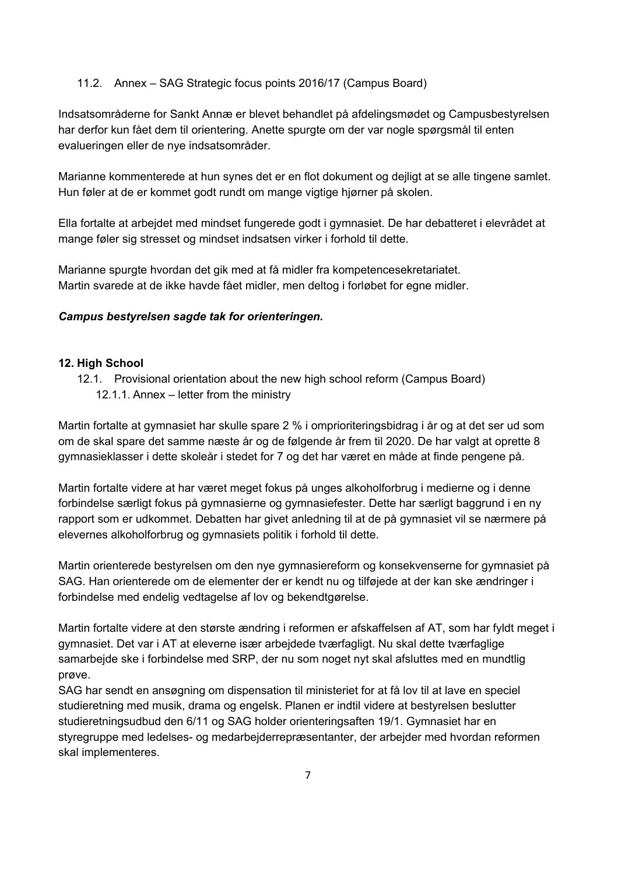#### 11.2. Annex – SAG Strategic focus points 2016/17 (Campus Board)

Indsatsområderne for Sankt Annæ er blevet behandlet på afdelingsmødet og Campusbestyrelsen har derfor kun fået dem til orientering. Anette spurgte om der var nogle spørgsmål til enten evalueringen eller de nye indsatsområder.

Marianne kommenterede at hun synes det er en flot dokument og dejligt at se alle tingene samlet. Hun føler at de er kommet godt rundt om mange vigtige hjørner på skolen.

Ella fortalte at arbejdet med mindset fungerede godt i gymnasiet. De har debatteret i elevrådet at mange føler sig stresset og mindset indsatsen virker i forhold til dette.

Marianne spurgte hvordan det gik med at få midler fra kompetencesekretariatet. Martin svarede at de ikke havde fået midler, men deltog i forløbet for egne midler.

#### *Campus bestyrelsen sagde tak for orienteringen.*

#### **12. High School**

12.1. Provisional orientation about the new high school reform (Campus Board) 12.1.1. Annex – letter from the ministry

Martin fortalte at gymnasiet har skulle spare 2 % i omprioriteringsbidrag i år og at det ser ud som om de skal spare det samme næste år og de følgende år frem til 2020. De har valgt at oprette 8 gymnasieklasser i dette skoleår i stedet for 7 og det har været en måde at finde pengene på.

Martin fortalte videre at har været meget fokus på unges alkoholforbrug i medierne og i denne forbindelse særligt fokus på gymnasierne og gymnasiefester. Dette har særligt baggrund i en ny rapport som er udkommet. Debatten har givet anledning til at de på gymnasiet vil se nærmere på elevernes alkoholforbrug og gymnasiets politik i forhold til dette.

Martin orienterede bestyrelsen om den nye gymnasiereform og konsekvenserne for gymnasiet på SAG. Han orienterede om de elementer der er kendt nu og tilføjede at der kan ske ændringer i forbindelse med endelig vedtagelse af lov og bekendtgørelse.

Martin fortalte videre at den største ændring i reformen er afskaffelsen af AT, som har fyldt meget i gymnasiet. Det var i AT at eleverne især arbejdede tværfagligt. Nu skal dette tværfaglige samarbejde ske i forbindelse med SRP, der nu som noget nyt skal afsluttes med en mundtlig prøve.

SAG har sendt en ansøgning om dispensation til ministeriet for at få lov til at lave en speciel studieretning med musik, drama og engelsk. Planen er indtil videre at bestyrelsen beslutter studieretningsudbud den 6/11 og SAG holder orienteringsaften 19/1. Gymnasiet har en styregruppe med ledelses- og medarbejderrepræsentanter, der arbejder med hvordan reformen skal implementeres.